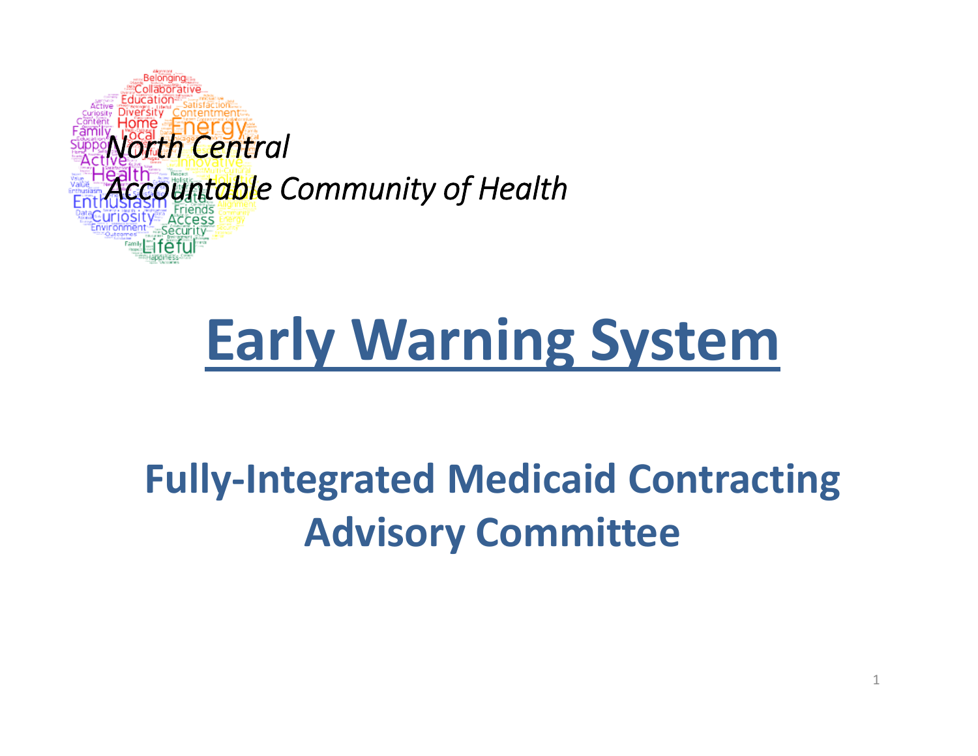

# **Early Warning System**

#### **Fully‐Integrated Medicaid Contracting Ad i <sup>v</sup> sory C i omm ttee**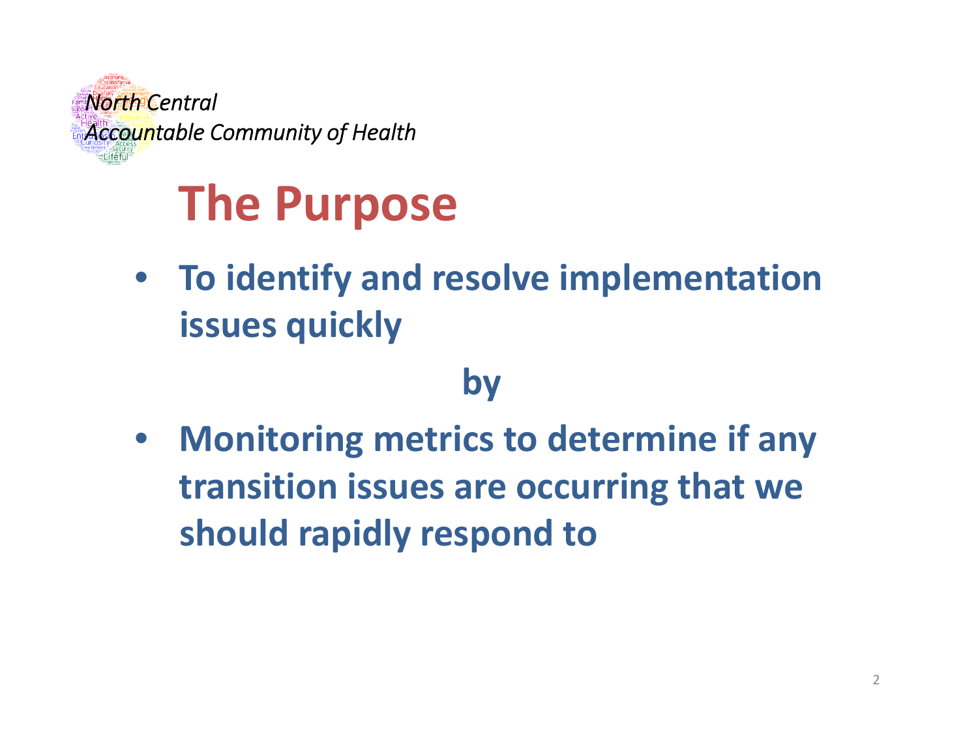

#### **The Purpose**

• **To identify and resolve implementation issues quickly**

#### **by**

• **Moni i tor ng metrics to d i eterm ne if any transition issues are occurring that we should rapidly respond to**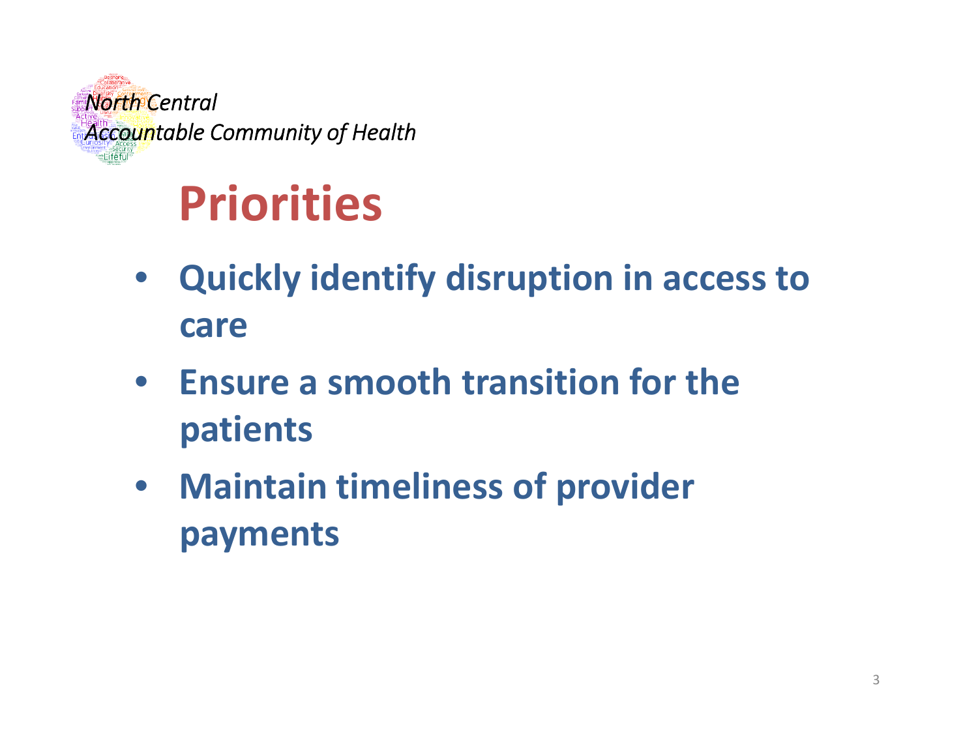

### **Priorities**

- **Quickly identify disruption in access to care**
- $\bullet$  **Ensure a smooth transition for the patients**
- **Maintain timeliness of provider payments**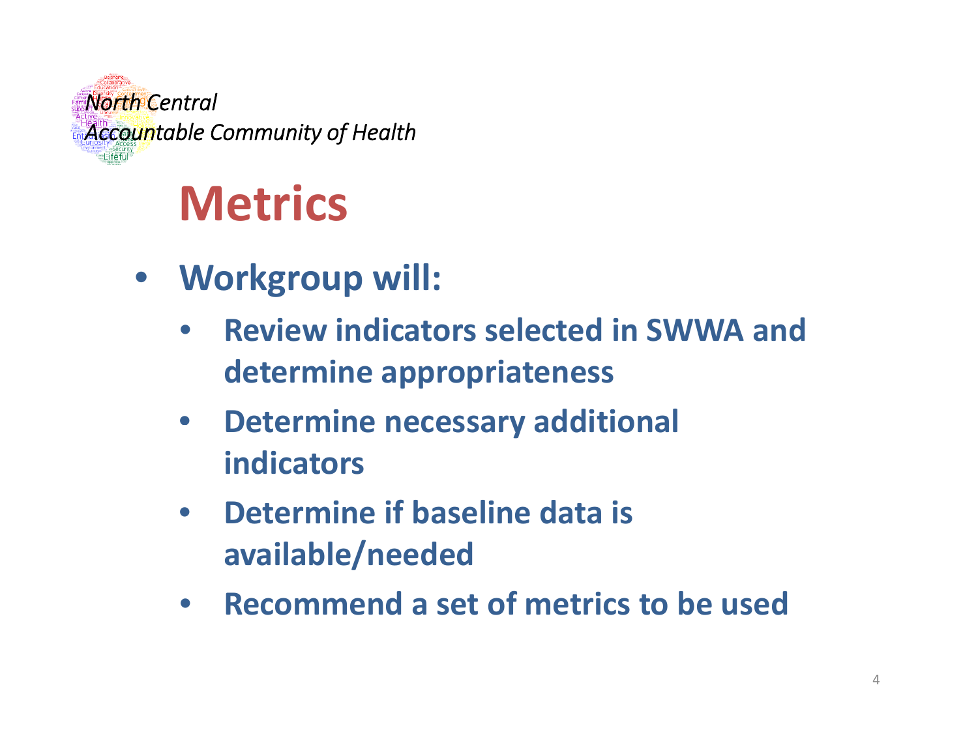

#### **Metrics**

- **Workgroup will:**
	- $\bullet$  **Review indicators selected in SWWA and determine appropriateness**
	- $\bullet$  **Determine necessary additional indicators**
	- $\bullet$  **Determine if baseline data is available/needed**
	- $\bullet$ **Recommend <sup>a</sup> set of metrics to be used**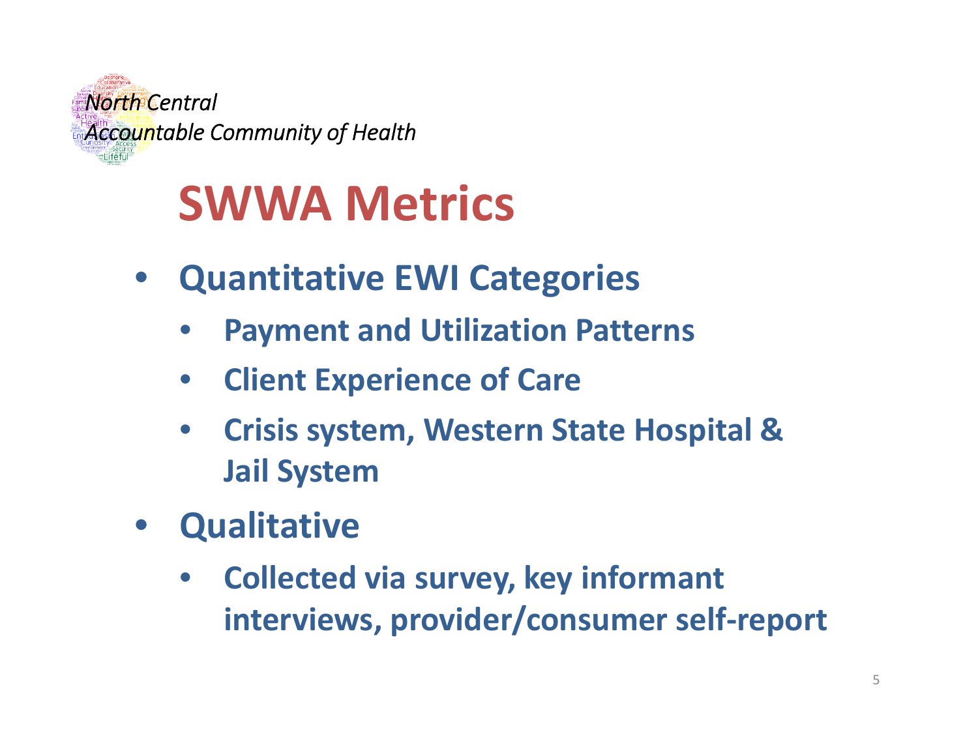

# **SWWA Metrics**

- **Quantitative EWI Categories**
	- •**Payment and Utilization Patterns**
	- $\bullet$ **Client Experience of Care**
	- $\bullet$  **Crisis system, Western State Hospital & Jail System**
- **Qualitative**
	- $\bullet$  **Collected via survey, key informant interviews, provider/consumer self‐report**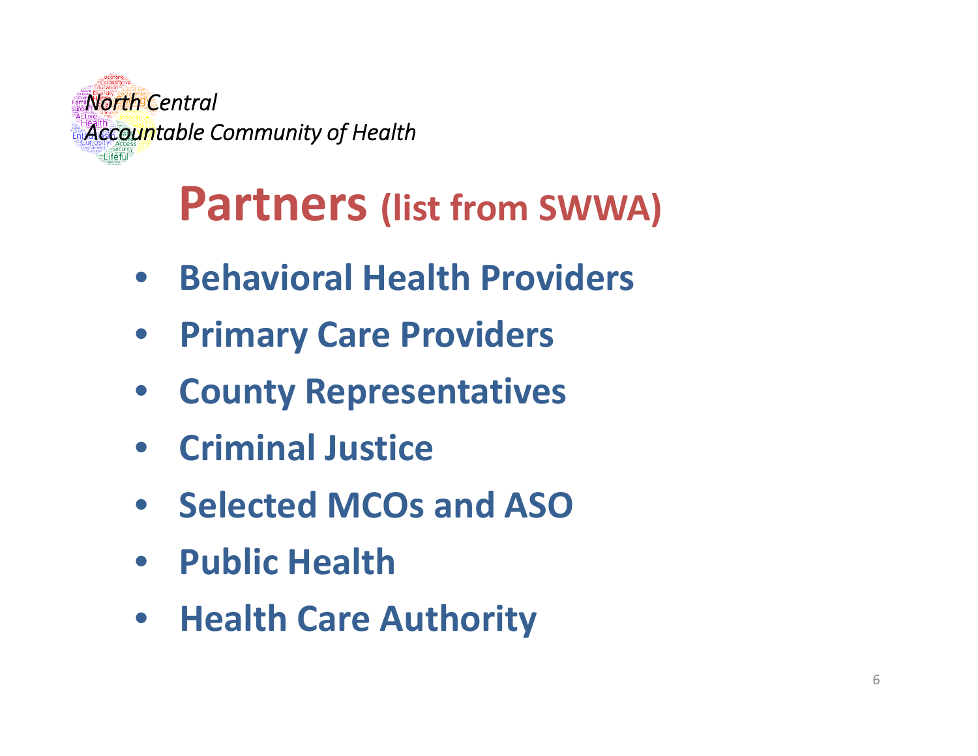

#### **Partners (list from SWWA)**

- $\bullet$ **Behavioral Health Providers**
- $\bullet$ **Primary Care Providers**
- $\bullet$ **County Representatives**
- **Criminal Justice**
- **Selected MCOs and ASO**
- $\bullet$ **Public Health**
- •**Health Care Authority**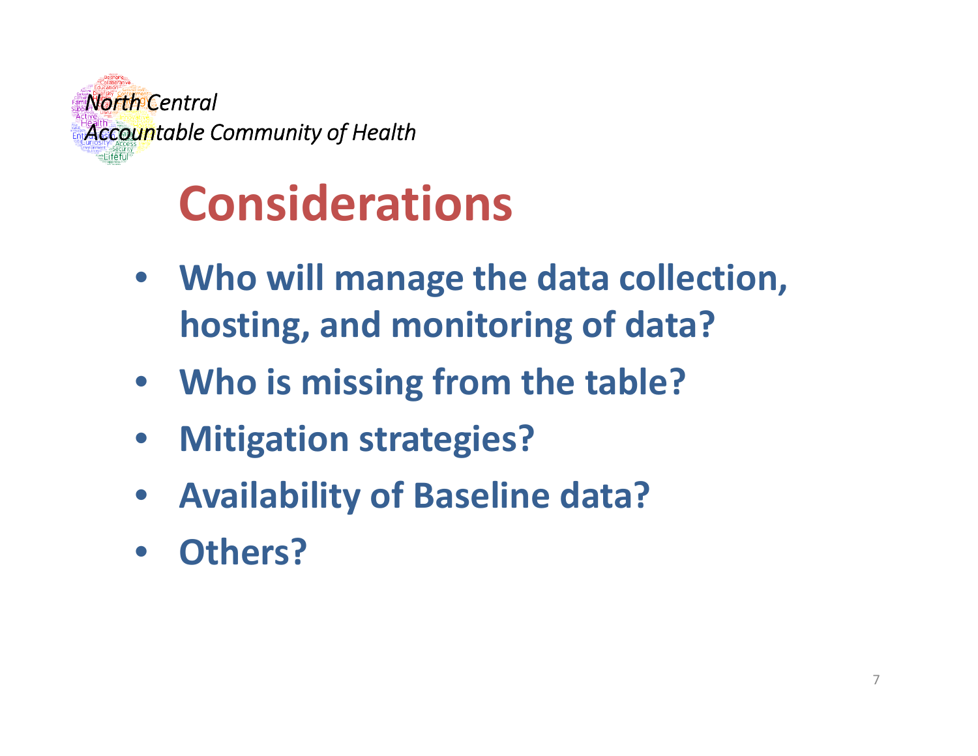

# **Considerations**

- **Who will manage the data collection, hosting, and monitoring of data?**
- **Who is missing from the table?**
- $\bullet$ **Mitigation strategies?**
- $\bullet$ **Availability of Baseline data?**
- **Others?**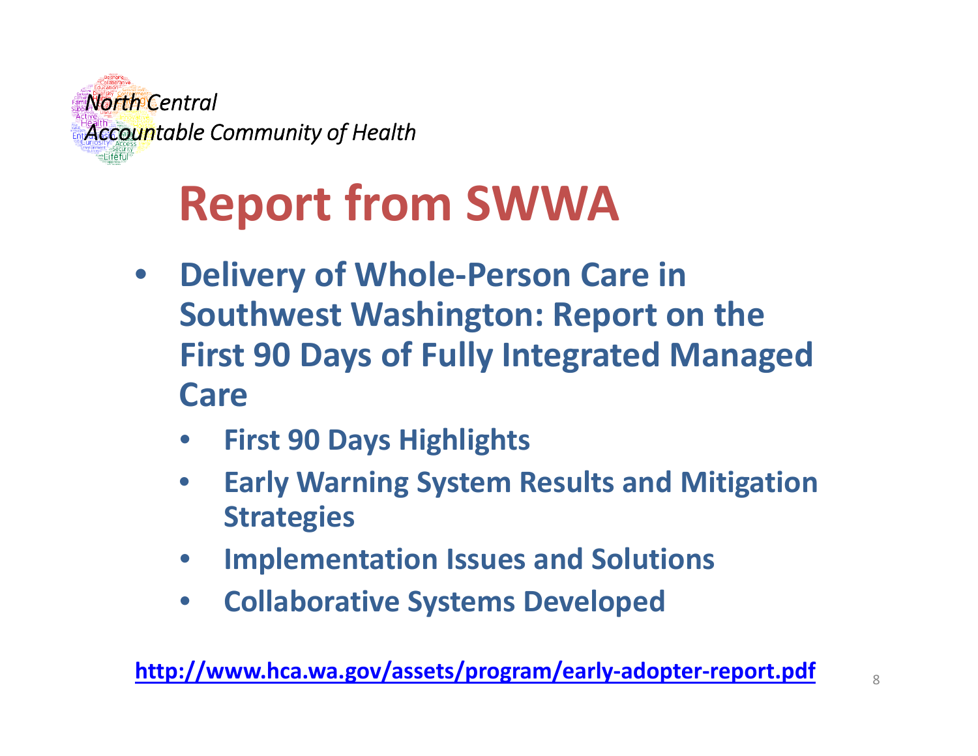

# **Report from SWWA**

- $\bullet$  **Delivery of Whole‐Person Care in Southwest Washington: Report on the First 90 Days of Fully Integrated Managed Care**
	- •**First 90 Days Highlights**
	- $\bullet$  **Early Warning System Results and Mitigation Strategies**
	- •**Implementation Issues and Solutions**
	- $\bullet$ **Collaborative Systems Developed**

**http://www.hca.wa.gov/assets/program/early‐adopter‐report.pdf** <sup>8</sup>